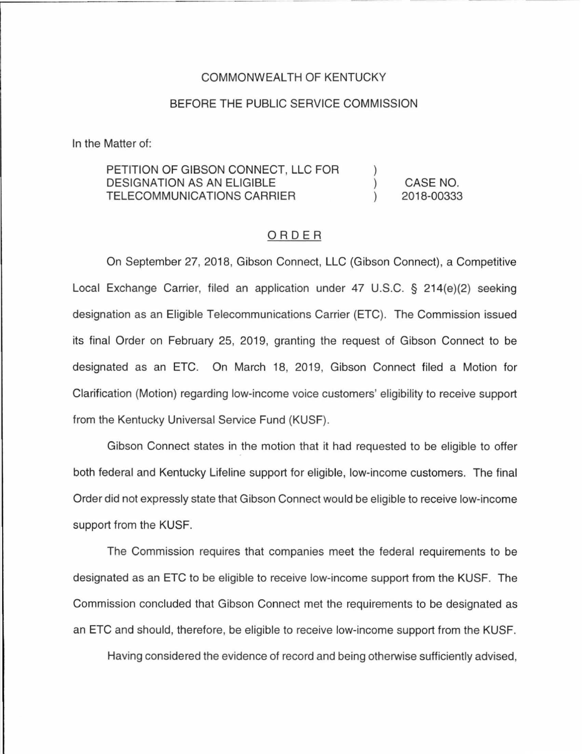## COMMONWEAL TH OF KENTUCKY

## BEFORE THE PUBLIC SERVICE COMMISSION

In the Matter of:

## PETITION OF GIBSON CONNECT, LLC FOR DESIGNATION AS AN ELIGIBLE TELECOMMUNICATIONS CARRIER ) ) ) CASE NO. 2018-00333

## ORDER

On September 27, 2018, Gibson Connect, LLC (Gibson Connect), a Competitive Local Exchange Carrier, filed an application under 47 U.S.C. § 214(e)(2) seeking designation as an Eligible Telecommunications Carrier (ETC). The Commission issued its final Order on February 25, 2019, granting the request of Gibson Connect to be designated as an ETC. On March 18, 2019, Gibson Connect filed a Motion for Clarification (Motion) regarding low-income voice customers' eligibility to receive support from the Kentucky Universal Service Fund (KUSF).

Gibson Connect states in the motion that it had requested to be eligible to offer both federal and Kentucky Lifeline support for eligible, low-income customers. The final Order did not expressly state that Gibson Connect would be eligible to receive low-income support from the KUSF.

The Commission requires that companies meet the federal requirements to be designated as an ETC to be eligible to receive low-income support from the KUSF. The Commission concluded that Gibson Connect met the requirements to be designated as an ETC and should, therefore, be eligible to receive low-income support from the KUSF.

Having considered the evidence of record and being otherwise sufficiently advised,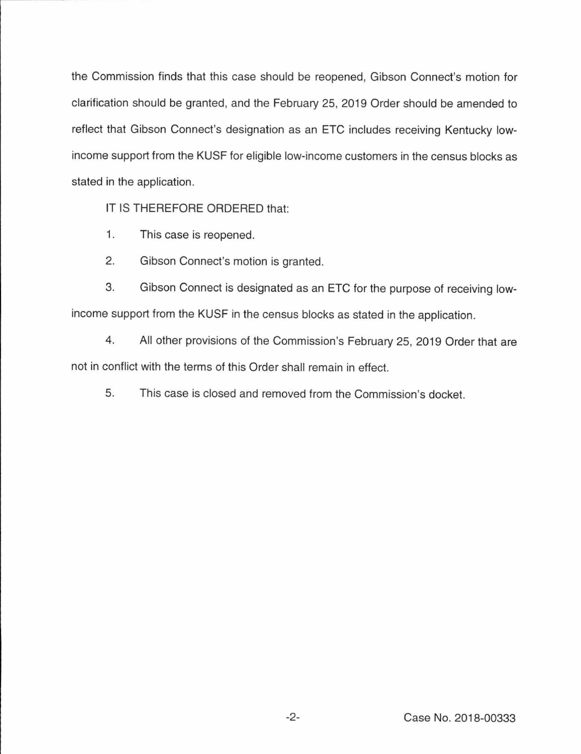the Commission finds that this case should be reopened, Gibson Connect's motion for clarification should be granted, and the February 25, 2019 Order should be amended to reflect that Gibson Connect's designation as an ETC includes receiving Kentucky lowincome support from the KUSF for eligible low-income customers in the census blocks as stated in the application.

IT IS THEREFORE ORDERED that:

- 1. This case is reopened.
- 2. Gibson Connect's motion is granted.

3. Gibson Connect is designated as an ETC for the purpose of receiving lowincome support from the KUSF in the census blocks as stated in the application.

4. All other provisions of the Commission's February 25, 2019 Order that are not in conflict with the terms of this Order shall remain in effect.

5. This case is closed and removed from the Commission's docket.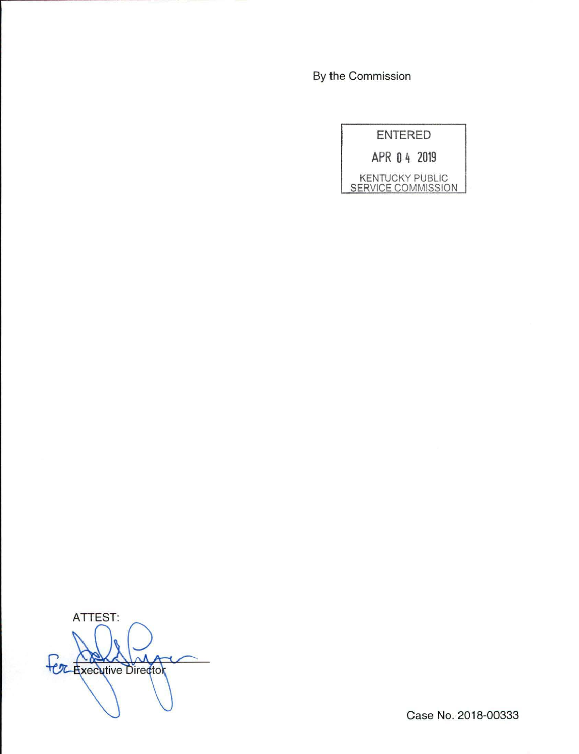By the Commission

| <b>ENTERED</b>                               |
|----------------------------------------------|
| APR 04 2019                                  |
| <b>KENTUCKY PUBLIC</b><br>SERVICE COMMISSION |

ATTEST: FOR Executive Director

Case No. 2018-00333